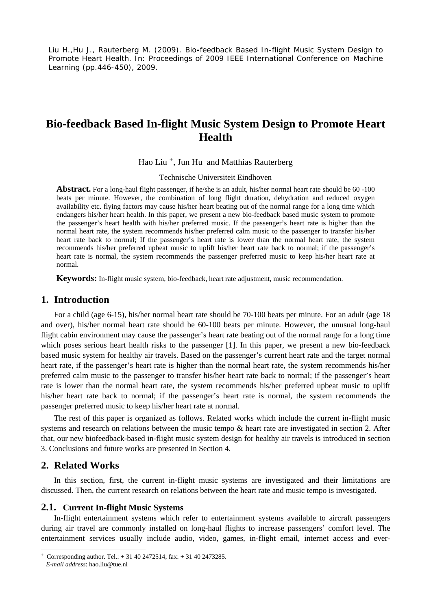Liu H.,Hu J., Rauterberg M. (2009). Bio**-**feedback Based In-flight Music System Design to Promote Heart Health. In: Proceedings of 2009 IEEE International Conference on Machine Learning (pp.446-450), 2009.

# **Bio-feedback Based In-flight Music System Design to Promote Heart Health**

Hao Liu<sup>[+](#page-0-0)</sup>, Jun Hu and Matthias Rauterberg

Technische Universiteit Eindhoven

**Abstract.** For a long-haul flight passenger, if he/she is an adult, his/her normal heart rate should be 60 -100 beats per minute. However, the combination of long flight duration, dehydration and reduced oxygen availability etc. flying factors may cause his/her heart beating out of the normal range for a long time which endangers his/her heart health. In this paper, we present a new bio-feedback based music system to promote the passenger's heart health with his/her preferred music. If the passenger's heart rate is higher than the normal heart rate, the system recommends his/her preferred calm music to the passenger to transfer his/her heart rate back to normal; If the passenger's heart rate is lower than the normal heart rate, the system recommends his/her preferred upbeat music to uplift his/her heart rate back to normal; if the passenger's heart rate is normal, the system recommends the passenger preferred music to keep his/her heart rate at normal.

**Keywords:** In-flight music system, bio-feedback, heart rate adjustment, music recommendation.

## **1. Introduction**

For a child (age 6-15), his/her normal heart rate should be 70-100 beats per minute. For an adult (age 18 and over), his/her normal heart rate should be 60-100 beats per minute. However, the unusual long-haul flight cabin environment may cause the passenger's heart rate beating out of the normal range for a long time which poses serious heart health risks to the passenger [1]. In this paper, we present a new bio-feedback based music system for healthy air travels. Based on the passenger's current heart rate and the target normal heart rate, if the passenger's heart rate is higher than the normal heart rate, the system recommends his/her preferred calm music to the passenger to transfer his/her heart rate back to normal; if the passenger's heart rate is lower than the normal heart rate, the system recommends his/her preferred upbeat music to uplift his/her heart rate back to normal; if the passenger's heart rate is normal, the system recommends the passenger preferred music to keep his/her heart rate at normal.

The rest of this paper is organized as follows. Related works which include the current in-flight music systems and research on relations between the music tempo & heart rate are investigated in section 2. After that, our new biofeedback-based in-flight music system design for healthy air travels is introduced in section 3. Conclusions and future works are presented in Section 4.

### **2. Related Works**

In this section, first, the current in-flight music systems are investigated and their limitations are discussed. Then, the current research on relations between the heart rate and music tempo is investigated.

#### **2.1. Current In-flight Music Systems**

In-flight entertainment systems which refer to entertainment systems available to aircraft passengers during air travel are commonly installed on long-haul flights to increase passengers' comfort level. The entertainment services usually include audio, video, games, in-flight email, internet access and ever-

 $\overline{a}$ 

<span id="page-0-0"></span><sup>+</sup> Corresponding author. Tel.: + 31 40 2472514; fax: + 31 40 2473285.

*E-mail address*: hao.liu@tue.nl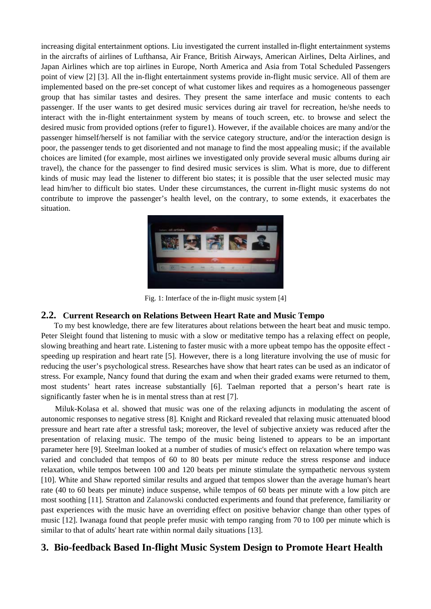increasing digital entertainment options. Liu investigated the current installed in-flight entertainment systems in the aircrafts of airlines of Lufthansa, Air France, British Airways, American Airlines, Delta Airlines, and Japan Airlines which are top airlines in Europe, North America and Asia from Total Scheduled Passengers point of view [2] [3]. All the in-flight entertainment systems provide in-flight music service. All of them are implemented based on the pre-set concept of what customer likes and requires as a homogeneous passenger group that has similar tastes and desires. They present the same interface and music contents to each passenger. If the user wants to get desired music services during air travel for recreation, he/she needs to interact with the in-flight entertainment system by means of touch screen, etc. to browse and select the desired music from provided options (refer to figure1). However, if the available choices are many and/or the passenger himself/herself is not familiar with the service category structure, and/or the interaction design is poor, the passenger tends to get disoriented and not manage to find the most appealing music; if the available choices are limited (for example, most airlines we investigated only provide several music albums during air travel), the chance for the passenger to find desired music services is slim. What is more, due to different kinds of music may lead the listener to different bio states; it is possible that the user selected music may lead him/her to difficult bio states. Under these circumstances, the current in-flight music systems do not contribute to improve the passenger's health level, on the contrary, to some extends, it exacerbates the situation.



Fig. 1: Interface of the in-flight music system [4]

#### **2.2. Current Research on Relations Between Heart Rate and Music Tempo**

To my best knowledge, there are few literatures about relations between the heart beat and music tempo. Peter Sleight found that listening to music with a slow or meditative tempo has a relaxing effect on people, slowing breathing and heart rate. Listening to faster music with a more upbeat tempo has the opposite effect speeding up respiration and heart rate [5]. However, there is a long literature involving the use of music for reducing the user's psychological stress. Researches have show that heart rates can be used as an indicator of stress. For example, Nancy found that during the exam and when their graded exams were returned to them, most students' heart rates increase substantially [6]. Taelman reported that a person's heart rate is significantly faster when he is in mental stress than at rest [7].

 Miluk-Kolasa et al. showed that music was one of the relaxing adjuncts in modulating the ascent of autonomic responses to negative stress [8]. Knight and Rickard revealed that relaxing music attenuated blood pressure and heart rate after a stressful task; moreover, the level of subjective anxiety was reduced after the presentation of relaxing music. The tempo of the music being listened to appears to be an important parameter here [9]. Steelman looked at a number of studies of music's effect on relaxation where tempo was varied and concluded that tempos of 60 to 80 beats per minute reduce the stress response and induce relaxation, while tempos between 100 and 120 beats per minute stimulate the sympathetic nervous system [10]. White and Shaw reported similar results and argued that tempos slower than the average human's heart rate (40 to 60 beats per minute) induce suspense, while tempos of 60 beats per minute with a low pitch are most soothing [11]. Stratton and Zalanowski conducted experiments and found that preference, familiarity or past experiences with the music have an overriding effect on positive behavior change than other types of music [12]. Iwanaga found that people prefer music with tempo ranging from 70 to 100 per minute which is similar to that of adults' heart rate within normal daily situations [13].

## **3. Bio-feedback Based In-flight Music System Design to Promote Heart Health**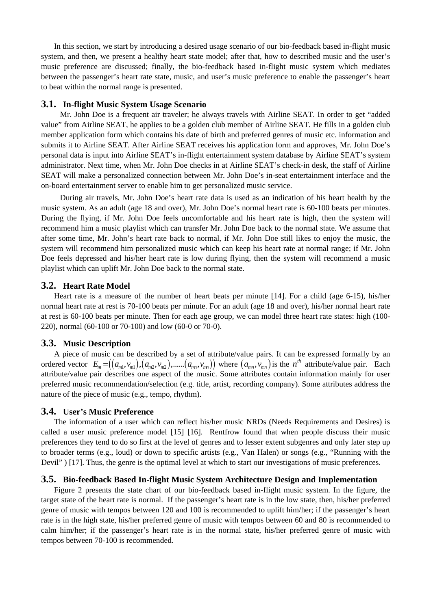In this section, we start by introducing a desired usage scenario of our bio-feedback based in-flight music system, and then, we present a healthy heart state model; after that, how to described music and the user's music preference are discussed; finally, the bio-feedback based in-flight music system which mediates between the passenger's heart rate state, music, and user's music preference to enable the passenger's heart to beat within the normal range is presented.

#### **3.1. In-flight Music System Usage Scenario**

 Mr. John Doe is a frequent air traveler; he always travels with Airline SEAT. In order to get "added value" from Airline SEAT, he applies to be a golden club member of Airline SEAT. He fills in a golden club member application form which contains his date of birth and preferred genres of music etc. information and submits it to Airline SEAT. After Airline SEAT receives his application form and approves, Mr. John Doe's personal data is input into Airline SEAT's in-flight entertainment system database by Airline SEAT's system administrator. Next time, when Mr. John Doe checks in at Airline SEAT's check-in desk, the staff of Airline SEAT will make a personalized connection between Mr. John Doe's in-seat entertainment interface and the on-board entertainment server to enable him to get personalized music service.

 During air travels, Mr. John Doe's heart rate data is used as an indication of his heart health by the music system. As an adult (age 18 and over), Mr. John Doe's normal heart rate is 60-100 beats per minutes. During the flying, if Mr. John Doe feels uncomfortable and his heart rate is high, then the system will recommend him a music playlist which can transfer Mr. John Doe back to the normal state. We assume that after some time, Mr. John's heart rate back to normal, if Mr. John Doe still likes to enjoy the music, the system will recommend him personalized music which can keep his heart rate at normal range; if Mr. John Doe feels depressed and his/her heart rate is low during flying, then the system will recommend a music playlist which can uplift Mr. John Doe back to the normal state.

#### **3.2. Heart Rate Model**

Heart rate is a measure of the number of heart beats per minute [14]. For a child (age 6-15), his/her normal heart rate at rest is 70-100 beats per minute. For an adult (age 18 and over), his/her normal heart rate at rest is 60-100 beats per minute. Then for each age group, we can model three heart rate states: high (100- 220), normal (60-100 or 70-100) and low (60-0 or 70-0).

#### **3.3. Music Description**

A piece of music can be described by a set of attribute/value pairs. It can be expressed formally by an ordered vector  $E_m = ((a_m, v_m), (a_m, v_m), \dots, (a_m, v_m))$  where  $(a_m, v_m)$  is the  $n^{\text{th}}$  attribute/value pair. Each attribute/value pair describes one aspect of the music. Some attributes contain information mainly for user preferred music recommendation/selection (e.g. title, artist, recording company). Some attributes address the nature of the piece of music (e.g., tempo, rhythm).

#### **3.4. User's Music Preference**

The information of a user which can reflect his/her music NRDs (Needs Requirements and Desires) is called a user music preference model [15] [16]. Rentfrow found that when people discuss their music preferences they tend to do so first at the level of genres and to lesser extent subgenres and only later step up to broader terms (e.g., loud) or down to specific artists (e.g., Van Halen) or songs (e.g., "Running with the Devil" ) [17]. Thus, the genre is the optimal level at which to start our investigations of music preferences.

#### **3.5. Bio-feedback Based In-flight Music System Architecture Design and Implementation**

Figure 2 presents the state chart of our bio-feedback based in-flight music system. In the figure, the target state of the heart rate is normal. If the passenger's heart rate is in the low state, then, his/her preferred genre of music with tempos between 120 and 100 is recommended to uplift him/her; if the passenger's heart rate is in the high state, his/her preferred genre of music with tempos between 60 and 80 is recommended to calm him/her; if the passenger's heart rate is in the normal state, his/her preferred genre of music with tempos between 70-100 is recommended.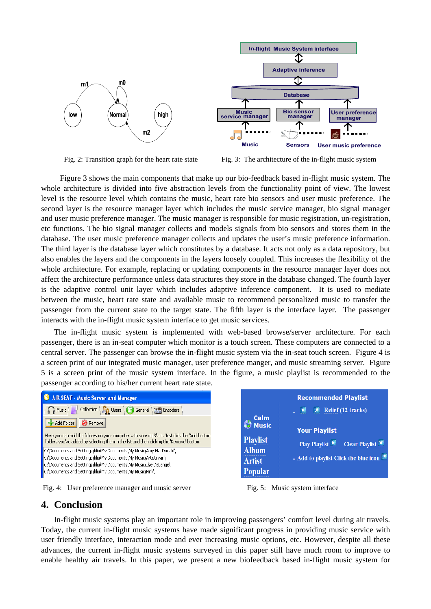

Fig. 2: Transition graph for the heart rate state Fig. 3: The architecture of the in-flight music system

 Figure 3 shows the main components that make up our bio-feedback based in-flight music system. The whole architecture is divided into five abstraction levels from the functionality point of view. The lowest level is the resource level which contains the music, heart rate bio sensors and user music preference. The second layer is the resource manager layer which includes the music service manager, bio signal manager and user music preference manager. The music manager is responsible for music registration, un-registration, etc functions. The bio signal manager collects and models signals from bio sensors and stores them in the database. The user music preference manager collects and updates the user's music preference information. The third layer is the database layer which constitutes by a database. It acts not only as a data repository, but also enables the layers and the components in the layers loosely coupled. This increases the flexibility of the whole architecture. For example, replacing or updating components in the resource manager layer does not affect the architecture performance unless data structures they store in the database changed. The fourth layer is the adaptive control unit layer which includes adaptive inference component. It is used to mediate between the music, heart rate state and available music to recommend personalized music to transfer the passenger from the current state to the target state. The fifth layer is the interface layer. The passenger interacts with the in-flight music system interface to get music services.

The in-flight music system is implemented with web-based browse/server architecture. For each passenger, there is an in-seat computer which monitor is a touch screen. These computers are connected to a central server. The passenger can browse the in-flight music system via the in-seat touch screen. Figure 4 is a screen print of our integrated music manager, user preference manger, and music streaming server. Figure 5 is a screen print of the music system interface. In the figure, a music playlist is recommended to the passenger according to his/her current heart rate state.



Fig. 4: User preference manager and music server Fig. 5: Music system interface



## **4. Conclusion**

In-flight music systems play an important role in improving passengers' comfort level during air travels. Today, the current in-flight music systems have made significant progress in providing music service with user friendly interface, interaction mode and ever increasing music options, etc. However, despite all these advances, the current in-flight music systems surveyed in this paper still have much room to improve to enable healthy air travels. In this paper, we present a new biofeedback based in-flight music system for